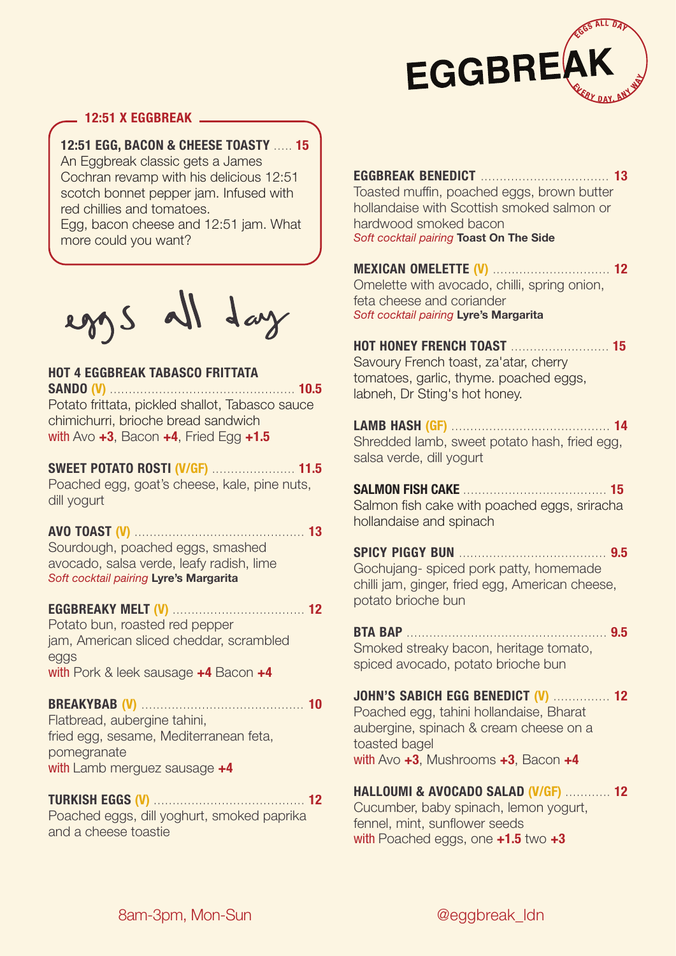

## **12:51 X EGGBREAK**

**12:51 EGG, BACON & CHEESE TOASTY** ..... **15**

An Eggbreak classic gets a James Cochran revamp with his delicious 12:51 scotch bonnet pepper jam. Infused with red chillies and tomatoes.

Egg, bacon cheese and 12:51 jam. What more could you want?

eggs all day

## **HOT 4 EGGBREAK TABASCO FRITTATA**

**SANDO (V)** ................................................. **10.5** Potato frittata, pickled shallot, Tabasco sauce chimichurri, brioche bread sandwich with Avo **+3**, Bacon **+4**, Fried Egg **+1.5**

## **SWEET POTATO ROSTI (V/GF)** ...................... **11.5**

Poached egg, goat's cheese, kale, pine nuts, dill yogurt

**AVO TOAST (V)** ............................................. **13** Sourdough, poached eggs, smashed

avocado, salsa verde, leafy radish, lime *Soft cocktail pairing* **Lyre's Margarita**

## **EGGBREAKY MELT (V)** ................................... **12**

Potato bun, roasted red pepper jam, American sliced cheddar, scrambled eggs with Pork & leek sausage **+4** Bacon **+4**

#### **BREAKYBAB (V)** ........................................... **10**

Flatbread, aubergine tahini, fried egg, sesame, Mediterranean feta, pomegranate with Lamb merguez sausage **+4**

## **TURKISH EGGS (V)** ........................................ **12**

Poached eggs, dill yoghurt, smoked paprika and a cheese toastie

**EGGBREAK BENEDICT** .................................. **13** Toasted muffin, poached eggs, brown butter hollandaise with Scottish smoked salmon or hardwood smoked bacon *Soft cocktail pairing* **Toast On The Side**

**MEXICAN OMELETTE (V)** ............................... **12** Omelette with avocado, chilli, spring onion, feta cheese and coriander *Soft cocktail pairing* **Lyre's Margarita**

**HOT HONEY FRENCH TOAST** .......................... **15** Savoury French toast, za'atar, cherry tomatoes, garlic, thyme. poached eggs, labneh, Dr Sting's hot honey.

**LAMB HASH (GF)** .......................................... **14** Shredded lamb, sweet potato hash, fried egg, salsa verde, dill yogurt

**SALMON FISH CAKE** ...................................... **15** Salmon fish cake with poached eggs, sriracha hollandaise and spinach

**SPICY PIGGY BUN** ....................................... **9.5** Gochujang- spiced pork patty, homemade chilli jam, ginger, fried egg, American cheese, potato brioche bun

**BTA BAP** ..................................................... **9.5** Smoked streaky bacon, heritage tomato, spiced avocado, potato brioche bun

## **JOHN'S SABICH EGG BENEDICT (V)** ............... **12**

Poached egg, tahini hollandaise, Bharat aubergine, spinach & cream cheese on a toasted bagel with Avo **+3**, Mushrooms **+3**, Bacon **+4**

# **HALLOUMI & AVOCADO SALAD (V/GF)** ............ **12**

Cucumber, baby spinach, lemon yogurt, fennel, mint, sunflower seeds with Poached eggs, one **+1.5** two **+3**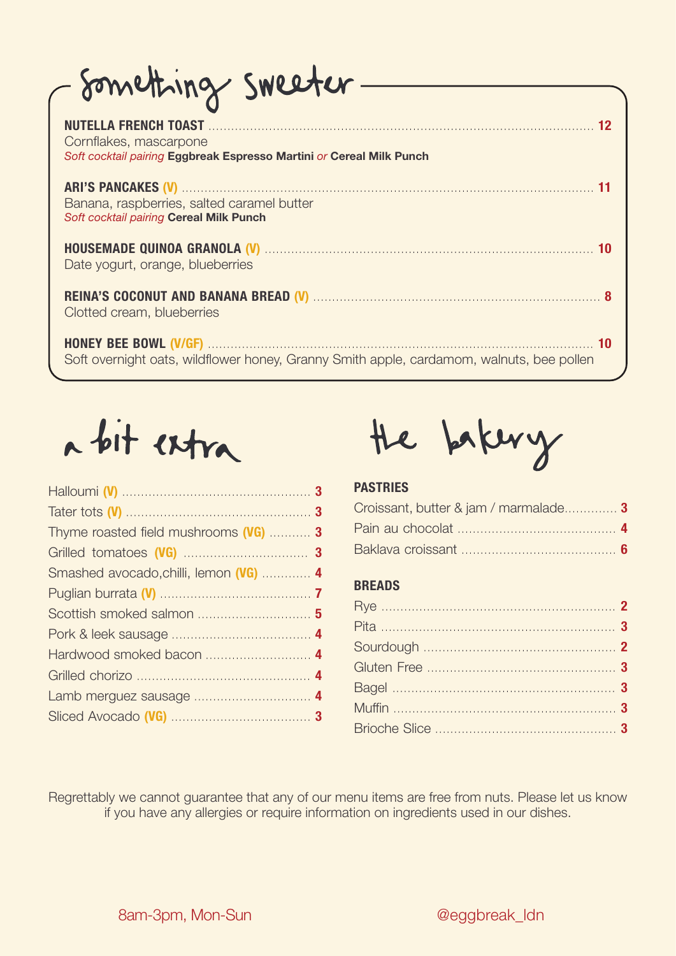| - Something sweeter-                                                                                                                                                                                                                                         |
|--------------------------------------------------------------------------------------------------------------------------------------------------------------------------------------------------------------------------------------------------------------|
| Cornflakes, mascarpone<br>Soft cocktail pairing Eggbreak Espresso Martini or Cereal Milk Punch                                                                                                                                                               |
| Banana, raspberries, salted caramel butter<br>Soft cocktail pairing Cereal Milk Punch                                                                                                                                                                        |
| HOUSEMADE QUINOA GRANOLA (V) MARIE EN ENTRANCIA DE TODA EN ENTRANCIA DE TODA DE TODA DE TODA DE TODA DE TODA D<br>Date yogurt, orange, blueberries                                                                                                           |
| REINA'S COCONUT AND BANANA BREAD (V) MARIE AND SUBSECTED AND SUBSECTED MARIE AND SUBSECTED MARIE AND SUBSECTED MARIE AND SUBSECTED MARIE AND SUBSECTED MARIE AND SUBSECTED MARIE AND SUBSECTED MARIE AND SUBSECTED MARIE AND S<br>Clotted cream, blueberries |
| Soft overnight oats, wildflower honey, Granny Smith apple, cardamom, walnuts, bee pollen                                                                                                                                                                     |



| Thyme roasted field mushrooms (VG)  3  |  |
|----------------------------------------|--|
|                                        |  |
| Smashed avocado, chilli, lemon (VG)  4 |  |
|                                        |  |
| Scottish smoked salmon  5              |  |
|                                        |  |
|                                        |  |
|                                        |  |
|                                        |  |
|                                        |  |
|                                        |  |



# **PASTRIES**

| Croissant, butter & jam / marmalade 3 |  |
|---------------------------------------|--|
|                                       |  |
|                                       |  |

# **BREADS**

Regrettably we cannot guarantee that any of our menu items are free from nuts. Please let us know if you have any allergies or require information on ingredients used in our dishes.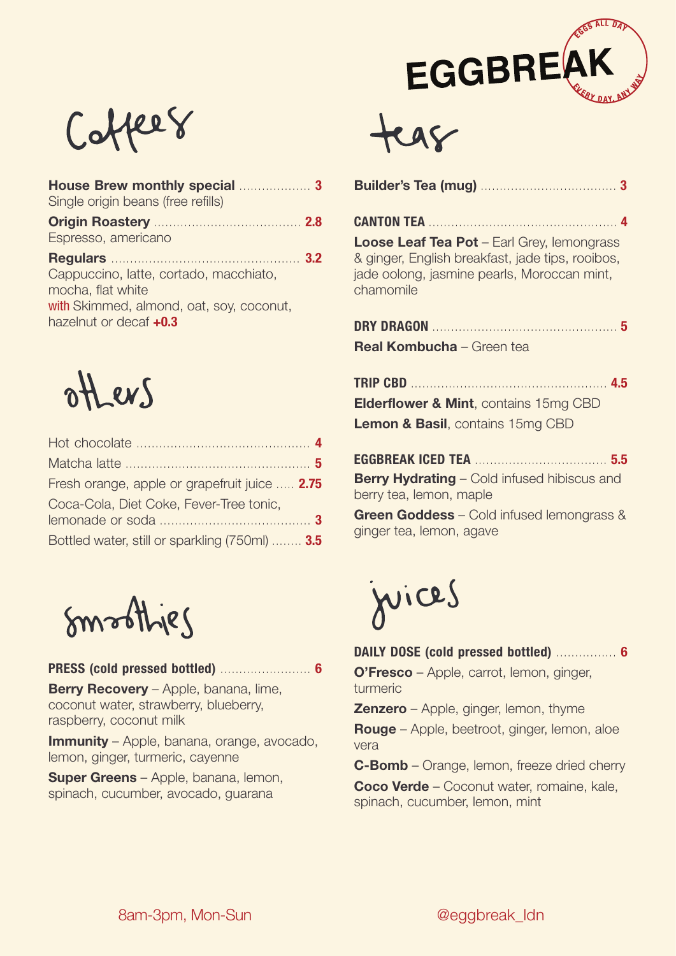



| Single origin beans (free refills)                                                                                                |
|-----------------------------------------------------------------------------------------------------------------------------------|
| Origin Roastery Manuel Manuel 2.8<br>Espresso, americano                                                                          |
| Cappuccino, latte, cortado, macchiato,<br>mocha, flat white<br>with Skimmed, almond, oat, soy, coconut,<br>hazelnut or decaf +0.3 |



| Fresh orange, apple or grapefruit juice  2.75  |
|------------------------------------------------|
| Coca-Cola, Diet Coke, Fever-Tree tonic,        |
|                                                |
| Bottled water, still or sparkling (750ml)  3.5 |

Smoothjes

## **PRESS (cold pressed bottled)** ........................ **6**

**Berry Recovery** – Apple, banana, lime, coconut water, strawberry, blueberry, raspberry, coconut milk

**Immunity** – Apple, banana, orange, avocado, lemon, ginger, turmeric, cayenne

**Super Greens** – Apple, banana, lemon, spinach, cucumber, avocado, guarana

|--|--|--|--|

**CANTON TEA** .................................................. **4 Loose Leaf Tea Pot** – Earl Grey, lemongrass & ginger, English breakfast, jade tips, rooibos, jade oolong, jasmine pearls, Moroccan mint, chamomile

**DRY DRAGON** ................................................. **5 Real Kombucha** – Green tea

**TRIP CBD** .................................................... **4.5 Elderflower & Mint**, contains 15mg CBD **Lemon & Basil**, contains 15mg CBD

**EGGBREAK ICED TEA** ................................... **5.5 Berry Hydrating** – Cold infused hibiscus and berry tea, lemon, maple

**Green Goddess** – Cold infused lemongrass & ginger tea, lemon, agave

juices

**DAILY DOSE (cold pressed bottled)** ................ **6**

**O'Fresco** – Apple, carrot, lemon, ginger, turmeric

**Zenzero** – Apple, ginger, lemon, thyme

**Rouge** – Apple, beetroot, ginger, lemon, aloe vera

**C-Bomb** – Orange, lemon, freeze dried cherry **Coco Verde** – Coconut water, romaine, kale, spinach, cucumber, lemon, mint